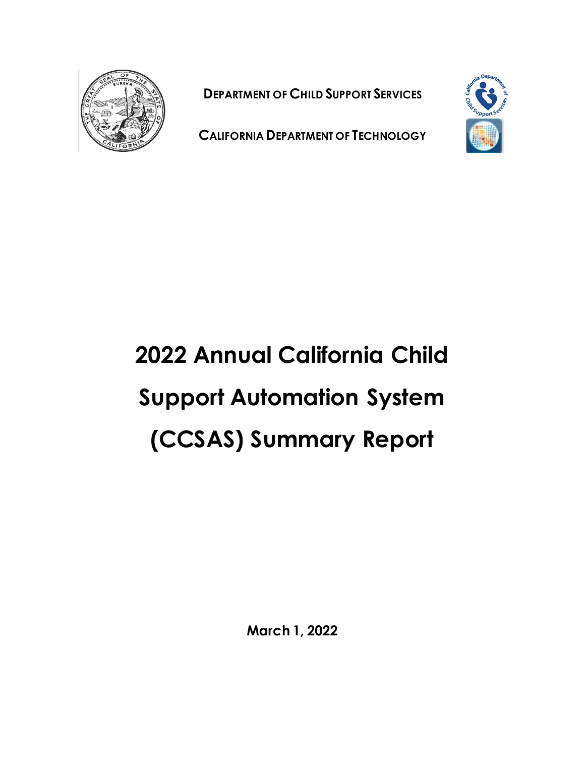

**DEPARTMENT OF CHILD SUPPORT SERVICES**



**CALIFORNIA DEPARTMENT OF TECHNOLOGY**

# **2022 Annual California Child Support Automation System (CCSAS) Summary Report**

**March 1, 2022**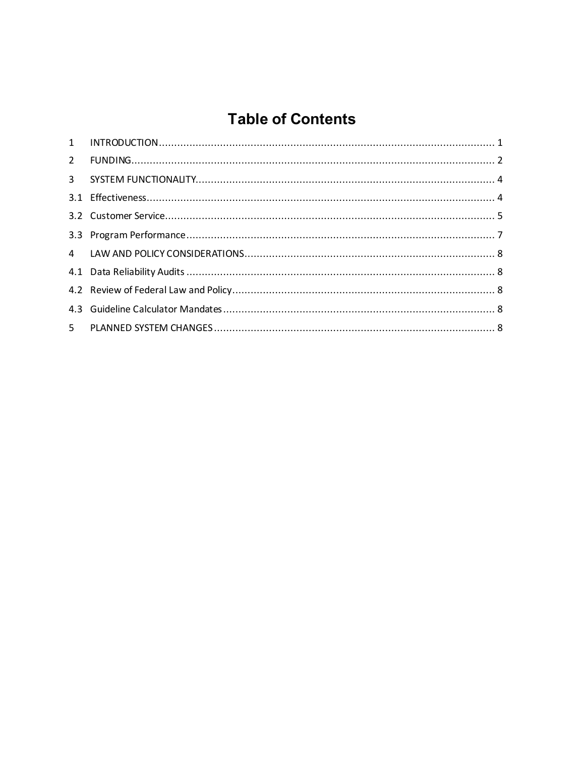## **Table of Contents**

| $\mathbf{2}$ |  |
|--------------|--|
|              |  |
|              |  |
|              |  |
|              |  |
|              |  |
|              |  |
|              |  |
|              |  |
|              |  |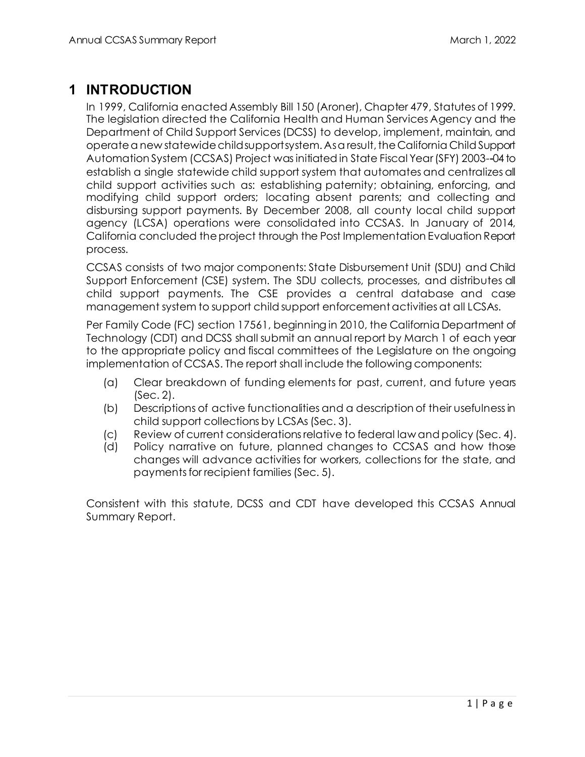### <span id="page-2-0"></span>**1 INTRODUCTION**

In 1999, California enacted Assembly Bill 150 (Aroner), Chapter 479, Statutes of 1999. The legislation directed the California Health and Human Services Agency and the Department of Child Support Services (DCSS) to develop, implement, maintain, and operate a new statewide child support system. As a result, the California Child Support Automation System (CCSAS) Project was initiated in State Fiscal Year(SFY) 2003--04 to establish a single statewide child support system that automates and centralizes all child support activities such as: establishing paternity; obtaining, enforcing, and modifying child support orders; locating absent parents; and collecting and disbursing support payments. By December 2008, all county local child support agency (LCSA) operations were consolidated into CCSAS. In January of 2014, California concluded the project through the Post Implementation Evaluation Report process.

CCSAS consists of two major components: State Disbursement Unit (SDU) and Child Support Enforcement (CSE) system. The SDU collects, processes, and distributes all child support payments. The CSE provides a central database and case management system to support child support enforcement activities at all LCSAs.

Per Family Code (FC) section 17561, beginning in 2010, the California Department of Technology (CDT) and DCSS shall submit an annual report by March 1 of each year to the appropriate policy and fiscal committees of the Legislature on the ongoing implementation of CCSAS. The report shall include the following components:

- (a) Clear breakdown of funding elements for past, current, and future years (Sec. 2).
- (b) Descriptions of active functionalities and a description of their usefulness in child support collections by LCSAs(Sec. 3).
- (c) Review of current considerations relative to federal law and policy (Sec. 4).
- (d) Policy narrative on future, planned changes to CCSAS and how those changes will advance activities for workers, collections for the state, and payments for recipient families (Sec. 5).

Consistent with this statute, DCSS and CDT have developed this CCSAS Annual Summary Report.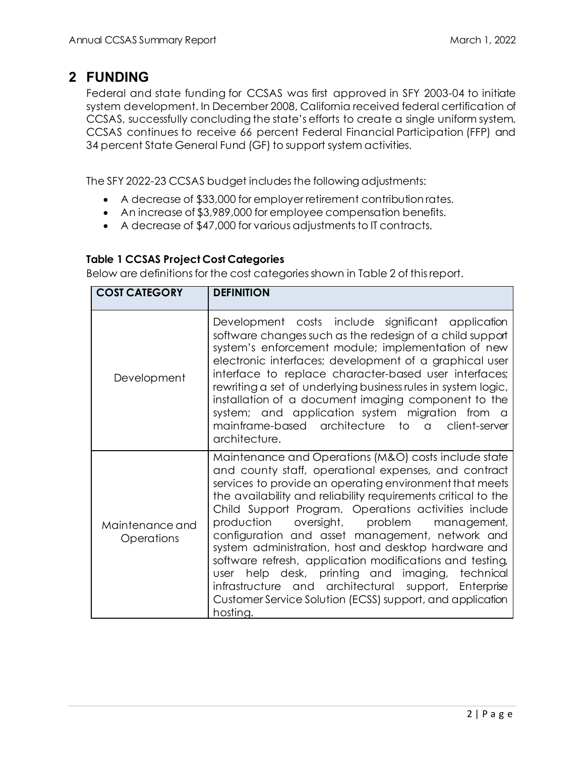#### <span id="page-3-0"></span>**2 FUNDING**

Federal and state funding for CCSAS was first approved in SFY 2003-04 to initiate system development. In December 2008, California received federal certification of CCSAS, successfully concluding the state's efforts to create a single uniform system. CCSAS continues to receive 66 percent Federal Financial Participation (FFP) and 34 percent State General Fund (GF) to support system activities.

The SFY 2022-23 CCSAS budget includesthe following adjustments:

- A decrease of \$33,000 for employer retirement contribution rates.
- An increase of \$3,989,000 for employee compensation benefits.
- A decrease of \$47,000 for various adjustments to IT contracts.

#### **Table 1 CCSAS Project Cost Categories**

Below are definitions for the cost categories shown in Table 2 of this report.

| <b>COST CATEGORY</b>          | <b>DEFINITION</b>                                                                                                                                                                                                                                                                                                                                                                                                                                                                                                                                                                                                                                                                                                 |  |  |  |  |  |  |
|-------------------------------|-------------------------------------------------------------------------------------------------------------------------------------------------------------------------------------------------------------------------------------------------------------------------------------------------------------------------------------------------------------------------------------------------------------------------------------------------------------------------------------------------------------------------------------------------------------------------------------------------------------------------------------------------------------------------------------------------------------------|--|--|--|--|--|--|
| Development                   | Development costs include significant application<br>software changes such as the redesign of a child support<br>system's enforcement module; implementation of new<br>electronic interfaces; development of a graphical user<br>interface to replace character-based user interfaces;<br>rewriting a set of underlying business rules in system logic,<br>installation of a document imaging component to the<br>system; and application system migration from a<br>mainframe-based architecture to a client-server<br>architecture.                                                                                                                                                                             |  |  |  |  |  |  |
| Maintenance and<br>Operations | Maintenance and Operations (M&O) costs include state<br>and county staff, operational expenses, and contract<br>services to provide an operating environment that meets<br>the availability and reliability requirements critical to the<br>Child Support Program. Operations activities include<br>oversight, problem<br>production<br>management,<br>configuration and asset management, network and<br>system administration, host and desktop hardware and<br>software refresh, application modifications and testing,<br>help desk, printing and imaging, technical<br>user<br>infrastructure and architectural support, Enterprise<br>Customer Service Solution (ECSS) support, and application<br>hosting. |  |  |  |  |  |  |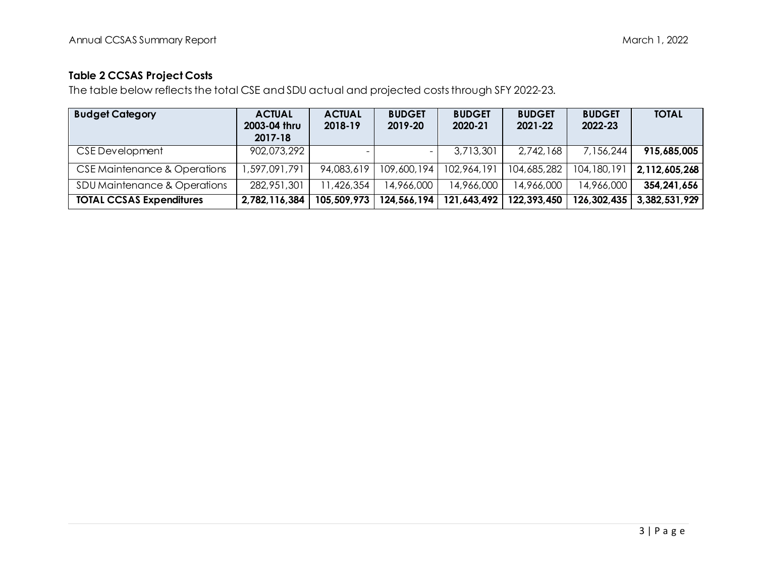#### **Table 2 CCSAS Project Costs**

The table below reflects the total CSE and SDU actual and projected costs through SFY 2022-23.

| <b>Budget Category</b>          | <b>ACTUAL</b><br>2003-04 thru<br>2017-18 | <b>ACTUAL</b><br>2018-19 | <b>BUDGET</b><br>2019-20 | <b>BUDGET</b><br>2020-21 | <b>BUDGET</b><br>2021-22 | <b>BUDGET</b><br>2022-23 | <b>TOTAL</b>  |
|---------------------------------|------------------------------------------|--------------------------|--------------------------|--------------------------|--------------------------|--------------------------|---------------|
| CSE Development                 | 902,073,292                              |                          |                          | 3,713,301                | 2,742,168                | 7,156,244                | 915,685,005   |
| CSE Maintenance & Operations    | ,597,091,791                             | 94,083,619               | 109,600,194              | 102,964,191              | 104,685,282              | 104, 180, 191            | 2,112,605,268 |
| SDU Maintenance & Operations    | 282,951,301                              | 1,426,354                | 14,966,000               | 14,966,000               | 14,966,000               | 14,966,000               | 354,241,656   |
| <b>TOTAL CCSAS Expenditures</b> | 2,782,116,384                            | 105,509,973              | 124,566,194              | 121,643,492              | 122,393,450              | 126,302,435              | 3,382,531,929 |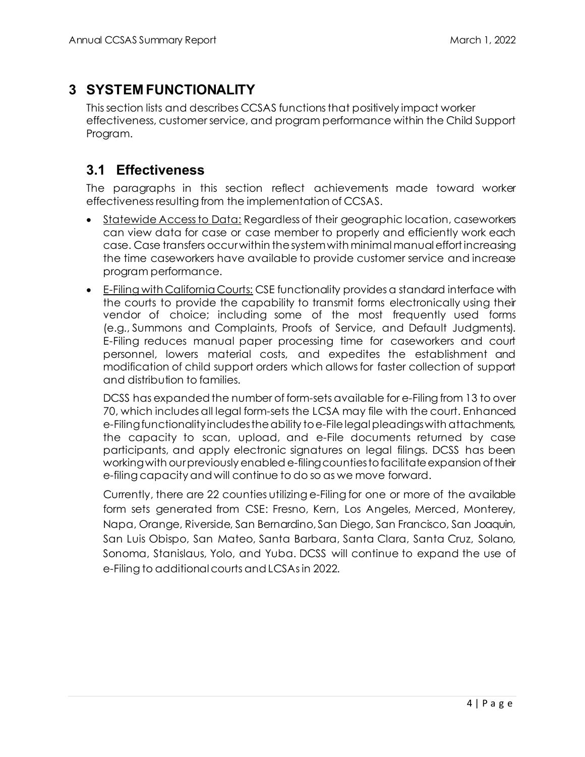## <span id="page-5-0"></span>**3 SYSTEM FUNCTIONALITY**

This section lists and describes CCSAS functions that positively impact worker effectiveness, customer service, and program performance within the Child Support Program.

#### <span id="page-5-1"></span>**3.1 Effectiveness**

The paragraphs in this section reflect achievements made toward worker effectiveness resulting from the implementation of CCSAS.

- Statewide Access to Data: Regardless of their geographic location, caseworkers can view data for case or case member to properly and efficiently work each case. Case transfers occur within the system with minimal manual effortincreasing the time caseworkers have available to provide customer service and increase program performance.
- E-Filing with California Courts: CSE functionality provides a standard interface with the courts to provide the capability to transmit forms electronically using their vendor of choice; including some of the most frequently used forms (e.g., Summons and Complaints, Proofs of Service, and Default Judgments). E-Filing reduces manual paper processing time for caseworkers and court personnel, lowers material costs, and expedites the establishment and modification of child support orders which allows for faster collection of support and distribution to families.

DCSS has expanded the number of form-sets available for e-Filing from 13 to over 70, which includes all legal form-sets the LCSA may file with the court. Enhanced e-Filing functionality includes the ability to e-File legal pleadings with attachments, the capacity to scan, upload, and e-File documents returned by case participants, and apply electronic signatures on legal filings. DCSS has been working with our previously enabled e-filing countiesto facilitate expansion of their e-filing capacity and will continue to do so as we move forward.

Currently, there are 22 counties utilizing e-Filing for one or more of the available form sets generated from CSE: Fresno, Kern, Los Angeles, Merced, Monterey, Napa, Orange, Riverside, San Bernardino, San Diego, San Francisco, San Joaquin, San Luis Obispo, San Mateo, Santa Barbara, Santa Clara, Santa Cruz, Solano, Sonoma, Stanislaus, Yolo, and Yuba. DCSS will continue to expand the use of e-Filing to additional courts and LCSAsin 2022.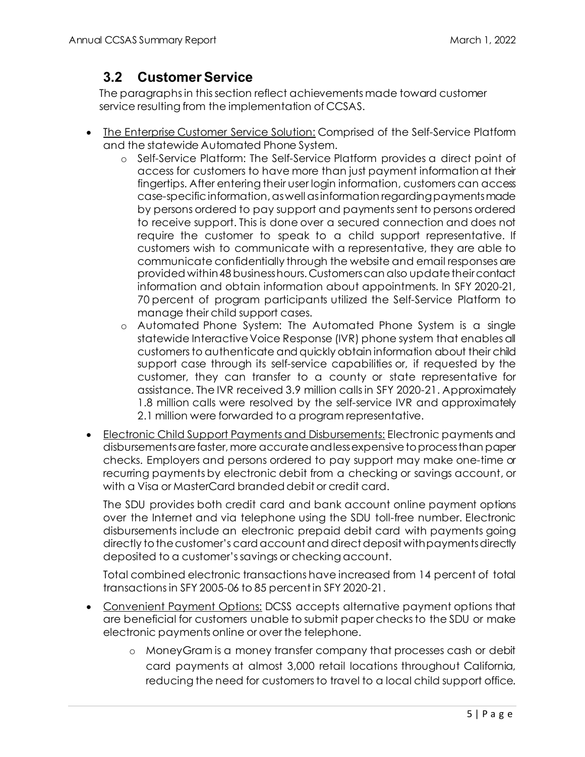### <span id="page-6-0"></span>**3.2 Customer Service**

The paragraphs in this section reflect achievements made toward customer service resulting from the implementation of CCSAS.

- The Enterprise Customer Service Solution: Comprised of the Self-Service Platform and the statewide Automated Phone System.
	- o Self-Service Platform: The Self-Service Platform provides a direct point of access for customers to have more than just payment information at their fingertips. After entering their user login information, customers can access case-specific information, as well as information regarding payments made by persons ordered to pay support and payments sent to persons ordered to receive support. This is done over a secured connection and does not require the customer to speak to a child support representative. If customers wish to communicate with a representative, they are able to communicate confidentially through the website and email responses are provided within 48 business hours. Customers can also update their contact information and obtain information about appointments. In SFY 2020-21, 70 percent of program participants utilized the Self-Service Platform to manage their child support cases.
	- o Automated Phone System: The Automated Phone System is a single statewide Interactive Voice Response (IVR) phone system that enables all customers to authenticate and quickly obtain information about their child support case through its self-service capabilities or, if requested by the customer, they can transfer to a county or state representative for assistance. The IVR received 3.9 million calls in SFY 2020-21. Approximately 1.8 million calls were resolved by the self-service IVR and approximately 2.1 million were forwarded to a program representative.
- Electronic Child Support Payments and Disbursements: Electronic payments and disbursements are faster, more accurate and less expensive to process than paper checks. Employers and persons ordered to pay support may make one-time or recurring payments by electronic debit from a checking or savings account, or with a Visa or MasterCard branded debit or credit card.

The SDU provides both credit card and bank account online payment options over the Internet and via telephone using the SDU toll-free number. Electronic disbursements include an electronic prepaid debit card with payments going directly to the customer's card account and direct deposit with payments directly deposited to a customer's savings or checking account.

Total combined electronic transactions have increased from 14 percent of total transactions in SFY 2005-06 to 85 percent in SFY 2020-21.

- Convenient Payment Options: DCSS accepts alternative payment options that are beneficial for customers unable to submit paper checks to the SDU or make electronic payments online or over the telephone.
	- o MoneyGram is a money transfer company that processes cash or debit card payments at almost 3,000 retail locations throughout California, reducing the need for customers to travel to a local child support office.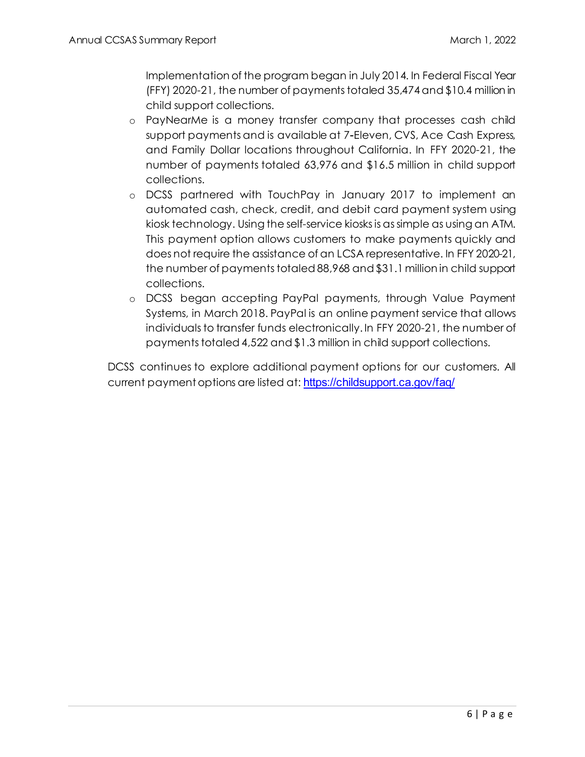Implementation of the program began in July 2014. In Federal Fiscal Year (FFY) 2020-21, the number of paymentstotaled 35,474and \$10.4 million in child support collections.

- o PayNearMe is a money transfer company that processes cash child support payments and is available at 7-Eleven, CVS, Ace Cash Express, and Family Dollar locations throughout California. In FFY 2020-21, the number of payments totaled 63,976 and \$16.5 million in child support collections.
- o DCSS partnered with TouchPay in January 2017 to implement an automated cash, check, credit, and debit card payment system using kiosk technology. Using the self-service kiosksis as simple as using an ATM. This payment option allows customers to make payments quickly and does not require the assistance of an LCSA representative. In FFY 2020-21, the number of payments totaled 88,968 and \$31.1 million in child support collections.
- o DCSS began accepting PayPal payments, through Value Payment Systems, in March 2018. PayPal is an online payment service that allows individuals to transfer funds electronically. In FFY 2020-21, the number of payments totaled 4,522 and \$1.3 million in child support collections.

DCSS continues to explore additional payment options for our customers. All current payment options are listed at: <https://childsupport.ca.gov/faq/>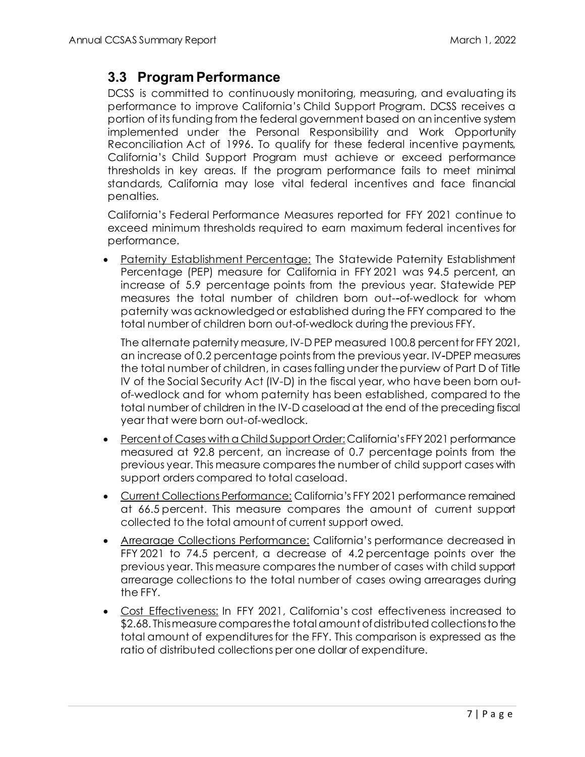#### <span id="page-8-0"></span>**3.3 Program Performance**

DCSS is committed to continuously monitoring, measuring, and evaluating its performance to improve California's Child Support Program. DCSS receives a portion of its funding from the federal government based on an incentive system implemented under the Personal Responsibility and Work Opportunity Reconciliation Act of 1996. To qualify for these federal incentive payments, California's Child Support Program must achieve or exceed performance thresholds in key areas. If the program performance fails to meet minimal standards, California may lose vital federal incentives and face financial penalties.

California's Federal Performance Measures reported for FFY 2021 continue to exceed minimum thresholds required to earn maximum federal incentives for performance.

• Paternity Establishment Percentage: The Statewide Paternity Establishment Percentage (PEP) measure for California in FFY 2021 was 94.5 percent, an increase of 5.9 percentage points from the previous year. Statewide PEP measures the total number of children born out--of-wedlock for whom paternity was acknowledged or established during the FFY compared to the total number of children born out-of-wedlock during the previous FFY.

The alternate paternity measure, IV-D PEP measured 100.8 percent for FFY 2021, an increase of 0.2 percentage points from the previous year. IV-DPEP measures the total number of children, in cases falling under the purview of Part D of Title IV of the Social Security Act (IV-D) in the fiscal year, who have been born outof-wedlock and for whom paternity has been established, compared to the total number of children in the IV-D caseload at the end of the preceding fiscal year that were born out-of-wedlock.

- Percent of Cases with a Child Support Order: California's FFY 2021 performance measured at 92.8 percent, an increase of 0.7 percentage points from the previous year. This measure compares the number of child support cases with support orders compared to total caseload.
- Current Collections Performance: California's FFY 2021 performance remained at 66.5 percent. This measure compares the amount of current support collected to the total amount of current support owed.
- Arrearage Collections Performance: California's performance decreased in FFY 2021 to 74.5 percent, a decrease of 4.2 percentage points over the previous year. This measure compares the number of cases with child support arrearage collections to the total number of cases owing arrearages during the FFY.
- Cost Effectiveness: In FFY 2021, California's cost effectiveness increased to \$2.68. This measure compares the total amount of distributed collections to the total amount of expenditures for the FFY. This comparison is expressed as the ratio of distributed collections per one dollar of expenditure.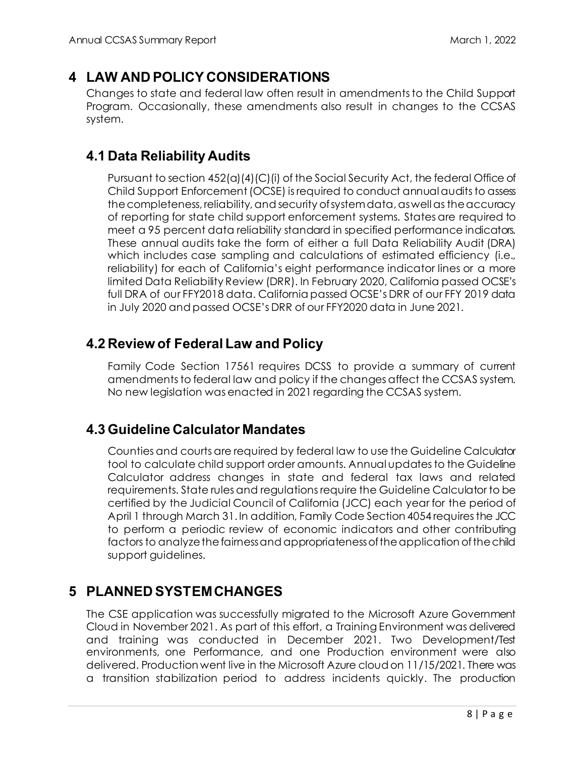#### <span id="page-9-0"></span>**4 LAW AND POLICY CONSIDERATIONS**

Changes to state and federal law often result in amendments to the Child Support Program. Occasionally, these amendments also result in changes to the CCSAS system.

#### <span id="page-9-1"></span>**4.1 Data Reliability Audits**

Pursuant to section 452(a)(4)(C)(i) of the Social Security Act, the federal Office of Child Support Enforcement (OCSE) is required to conduct annual audits to assess the completeness, reliability, and security of system data, as well as the accuracy of reporting for state child support enforcement systems. States are required to meet a 95 percent data reliability standard in specified performance indicators. These annual audits take the form of either a full Data Reliability Audit (DRA) which includes case sampling and calculations of estimated efficiency (i.e., reliability) for each of California's eight performance indicator lines or a more limited Data Reliability Review (DRR). In February 2020, California passed OCSE's full DRA of our FFY2018 data. California passed OCSE's DRR of our FFY 2019 data in July 2020 and passed OCSE's DRR of our FFY2020 data in June 2021.

#### <span id="page-9-2"></span>**4.2 Review of Federal Law and Policy**

Family Code Section 17561 requires DCSS to provide a summary of current amendments to federal law and policy if the changes affect the CCSAS system. No new legislation was enacted in 2021 regarding the CCSAS system.

#### <span id="page-9-3"></span>**4.3 Guideline Calculator Mandates**

Counties and courts are required by federal law to use the Guideline Calculator tool to calculate child support order amounts. Annual updates to the Guideline Calculator address changes in state and federal tax laws and related requirements. State rules and regulations require the Guideline Calculator to be certified by the Judicial Council of California (JCC) each year for the period of April 1 through March 31. In addition, Family Code Section 4054 requires the JCC to perform a periodic review of economic indicators and other contributing factors to analyze the fairness and appropriateness of the application of the child support guidelines.

#### <span id="page-9-4"></span>**5 PLANNED SYSTEM CHANGES**

The CSE application was successfully migrated to the Microsoft Azure Government Cloud in November 2021. As part of this effort, a Training Environment was delivered and training was conducted in December 2021. Two Development/Test environments, one Performance, and one Production environment were also delivered. Production went live in the Microsoft Azure cloud on 11/15/2021. There was a transition stabilization period to address incidents quickly. The production